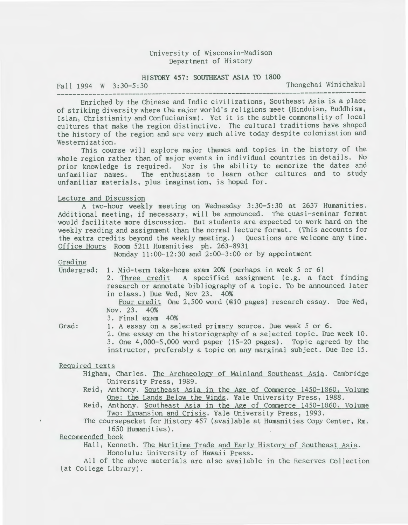## University of Wisconsin-Madison Department of History

# HISTORY 457: SOUTHEAST ASIA TO 1800

Fall 1994 W 3:30-5:30 Thongchai Winichakul

Enriched by the Chinese and Indic civilizations, Southeast Asia is a place of striking diversity where the major world's religions meet (Hinduism, Buddhism, Islam, Christianity and Confucianism). Yet it is the subtle commonality of local cultures that make the region distinctive. The cultural traditions have shaped the history of the region and are very much alive today despite colonization and Westernization.

This course will explore major themes and topics in the history of the whole region rather than of major events in individual countries in details. No prior knowledge is required. Nor is the ability to memorize the dates and unfamiliar names. The enthusiasm to learn other cultures and to study unfamiliar materials, plus imagination, is hoped for.

### Lecture and Discussion

A two-hour weekly meeting on Wednesday 3:30-5:30 at 2637 Humanities. Additional meeting, if necessary, will be announced. The quasi-seminar format would facilitate more discussion. But students are expected to work hard on the weekly reading and assignment than the normal lecture format. (This accounts for the extra credits beyond the weekly meeting.) Questions are welcome any time. Office Hours Room 5211 Humanities ph. 263-8931

Monday 11:00-12:30 and 2:00-3:00 or by appointment

Grading

Undergrad: 1. Mid-term take-home exam 20% (perhaps in week 5 or 6)

2. Three credit A specified assignment (e.g. a fact finding research or annotate bibliography of a topic. To be announced later in class.) Due Wed, Nov 23. 40%

Four credit One 2,500 word (@10 pages) research essay. Due Wed, Nov. 23. 40%

3. Final exam 40%

Grad:

1. A essay on a selected primary source. Due week 5 or 6.

2. One essay on the historiography of a selected topic. Due week 10. 3. One 4,000-5,000 word paper (15-20 pages). Topic agreed by the instructor, preferably a topic on any marginal subject . Due Dec 15.

### Required texts

Higham, Charles. The Archaeology of Mainland Southeast Asia. Cambridge University Press, 1989.

- Reid, Anthony. Southeast Asia in the Age of Commerce 1450-1860, Volume One: the Lands Below the Winds. Yale University Press, 1988.
- Reid, Anthony. Southeast Asia in the Age of Commerce 1450-1860, Volume Two: Expansion and Crisis. Yale University Press, 1993.

The coursepacket for History 457 (available at Humanities Copy Center, Rm. 1650 Humanities).

Recommended book

Hall , Kenneth. The Maritime Trade and Early History of Southeast Asia. Honolulu: University of Hawaii Press .

All of the above materials are also available in the Reserves Collection (at College Library).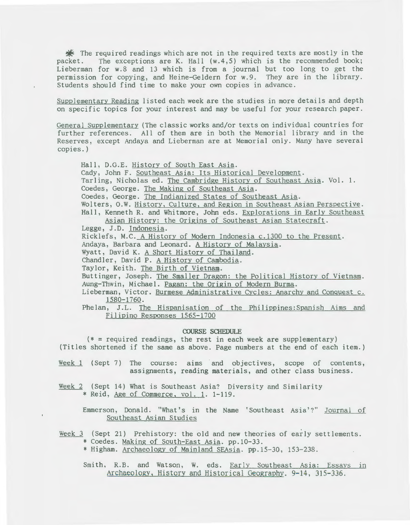$*$  The required readings which are not in the required texts are mostly in the packet. The exceptions are K. Hall (w.4,5) which is the recommended book; Lieberman for w.8 and 13 which is from a journal but too long to get the permission for copying, and Heine-Geldern for w.9. They are in the library. Students should find time to make your own copies in advance.

Supplementary Reading listed each week are the studies in more details and depth on specific topics for your interest and may be useful for your research paper.

General Supplementary (The classic works and/or texts on individual countries for further references. All of them are in both the Memorial library and in the Reserves, except Andaya and Lieberman are at Memorial only. Many have several copies.)

Hall, D.G.E. History of South East Asia.

Cady, John F. Southeast Asia: Its Historical Development.

Tarling, Nicholas ed. The Cambridge History of Southeast Asia. Vol. 1.

Coedes, George. The Making of Southeast Asia.

Coedes, George. The Indianized States of Southeast Asia.

Wolters, O.W. History, Culture, and Region in Southeast Asian Perspective. Hall, Kenneth R. and Whitmore, John eds. Explorations in Early Southeast

Asian History: the Origins of Southeast Asian Statecraft.

Legge, J.D. Indonesia.

Ricklefs, M.C. A History of Modern Indonesia c.1300 to the Present.

Andaya, Barbara and Leonard. A History of Malaysia.

Wyatt, David K. A Short History of Thailand.

Chandler, David P. A History of Cambodia.

Taylor, Keith. The Birth of Vietnam.

Buttinger, Joseph. The Smaller Dragon: the Political History of Vietnam. Aung-Thwin, Michael. Pagan: the Origin of Modern Burma.

Lieberman, Victor. <u>Burmese Administrative Cycles: Anarchy and Conquest c.</u><br>1580-1760.

Phelan, J.L. The Hispanisation of the Philippines:Spanish Aims and Filipino Responses 1565-1700

## **COURSE SCHEDULE**

(\* = required readings, the rest in each week are supplementary) (Titles shortened if the same as above. Page numbers at the end of each item.)

Week 1 (Sept 7) The course: aims and objectives, scope of contents, assignments, reading materials, and other class business.

Week 2 (Sept 14) What is Southeast Asia? Diversity and Similarity \*Reid, Age of Commerce, val. 1. 1-119.

Emmerson, Donald. "What's in the Name 'Southeast Asia'?" Journal of Southeast Asian Studies

Week 3 (Sept 21) Prehistory: the old and new theories of early settlements. \* Coedes. Making of South-East Asia. pp.10-33. \*Higham. Archaeology of Mainland SEAsia. pp.15-30, 153-238.

Smith, R.B. and Watson, W. eds. Early Southeast Asia: Essavs in Archaeology, History and Historical Geography. 9-14, 315-336.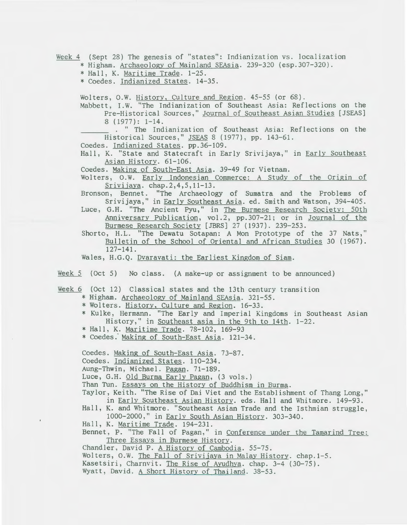Week 4 (Sept 28) The genesis of "states": Indianization vs. localization \*Higham. Archaeology of Mainland SEAsia. 239-320 (esp.307-320).

\*Hall, K. Maritime Trade. 1-25. \* Coedes. Indianized States. 14-35.

Wolters, O.W. History, Culture and Region. 45-55 (or 68).

Mabbett, I.W. "The Indianization of Southeast Asia: Reflections on the Pre-Historical Sources," Journal of Southeast Asian Studies [JSEAS] 8 (1977): 1-14.

. " The Indianization of Southeast Asia: Reflections on the Historical Sources," JSEAS 8 (1977), pp. 143-61.

- Coedes. Indianized States. pp.36-109.
- Hall, K. ''State and Statecraft in Early Srivijaya," in Early Southeast Asian History. 61-106.

Coedes. Making of South-East Asia. 39-49 for Vietnam.

Wolters, O.W. Early Indonesian Commerce: A Study of the Origin of Srivijaya. chap.2,4,5,11-13.

Bronson, Bennet. "The Archaeology of Sumatra and the Problems of Srivijaya," in Early Southeast Asia. ed. Smith and Watson, 394-405.

Luce, G.H. "The Ancient Pyu," in The Burmese Research Society: 50th Anniversary Publication, vol.2, pp. 307-21; or in Journal of the Burmese Research Society [JBRS] 27 (1937). 239-253.

Shorto, H.L. "The Dewatu Sotapan: A Mon Prototype of the 37 Nats," Bulletin of the School of Oriental and African Studies 30 (1967). 127-141.

Wales, H.G.Q. Dvaravati: the Earliest Kingdom of Siam.

Week 5 (Oct 5) No class. (A make-up or assignment to be announced)

Week 6 (Oct 12) Classical states and the 13th century transition<br>\* Higham. <u>Archaeology of Mainland SEAsia</u>. 321-55.<br>\* Wolters. <u>History, Culture and Region</u>. 16-33.<br>\* Kulke, Hermann. "The Early and Imperial Kingdoms in So

- 
- 
- History," in Southeast asia in the 9th to 14th. 1-22.
- \*Hall, K. Maritime Trade. 78-102, 169-93
- \* Coedes: Making of South-East Asia. 121-34.

Coedes. Making of South-East Asia. 73-87.

Coedes. Indianized States. 110-234.

Aung-Thwin, Michael. Pagan. 71-189.

Luce, G.H. Old Burma Early Pagan, (3 vols.)

Than Tun. Essays on the History of Buddhism in Burma.

- Taylor, Keith. "The Rise of Dai Viet and the Establishment of Thang Long," in Early Southeast Asian History. eds. Hall and Whitmore. 149-93.
- Hall, K. and Whitmore. "Southeast Asian Trade and the Isthmian struggle, 1000-2000," in Early South Asian History. 303-340.
- Hall, K. Maritime Trade. 194-231.

Bennet, P. "The Fall of Pagan," in Conference under the Tamarind Tree: Three Essays in Burmese History.

Chandler, David P. A History of Cambodia. 55-75.

Wolters, O.W. The Fall of Srivijaya in Malay History. chap. 1-5.

Kasetsiri, Charnvit. The Rise of Ayudhya. chap. 3-4 (30-75).

Wyatt, David. A Short History of Thailand. 38-53.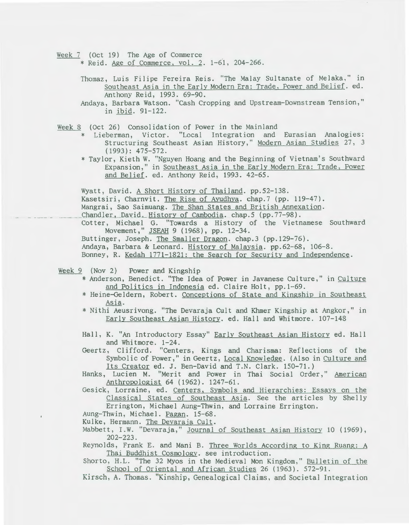Week 7 (Oct 19) The Age of Commerce

\*Reid. Age of Commerce. val. 2. 1-61, 204-266.

Thomaz, Luis Filipe Fereira Reis. "The Malay Sultanate of Melaka," in Southeast Asia in the Early Modern Era: Trade, Power and Belief. ed. Anthony Reid, 1993. 69-90.

Andaya, Barbara Watson. "Cash Cropping and Upstream-Downstream Tension," in ibid. 91-122.

Week 8 (Oct 26) Consolidation of Power in the Mainland

- \* Lieberman, Victor. "Local Integration and Eurasian Analogies: Structuring Southeast Asian History," Modern Asian Studies 27, 3 (1993): 475-572.
- \* Taylor, Kieth W. "Nguyen Hoang and the Beginning of Vietnam's Southward Expansion," in Southeast Asia in the Early Modern Era: Trade, Power and Belief. ed. Anthony Reid, 1993. 42-65.

Wyatt, David. A Short History of Thailand. pp.52-138.

Kasetsiri, Charnvit. The Rise of Ayudhya. chap.? (pp. 119-47).

Mangrai, Sao Saimuang. The Shan States and British Annexation.<br>Chandler, David. History of Cambodia. chap.5 (pp. 77-98).

Cotter, Michael G. "Towards a History of the Vietnamese Southward Movement," JSEAH 9 (1968), pp. 12-34.

Buttinger, Joseph. The Smaller Dragon. chap.3 (pp.129-76).

Andaya, Barbara & Leonard. History of Malaysia. pp.62-68, 106-S.

Bonney, R. Kedah 1771-1821: the Search for Security and Independence.

- Week 9 (Nov 2) Power and Kingship
	- \*Anderson, Benedict. "The Idea of Power in Javanese Culture," in Culture and Politics in Indonesia ed. Claire Holt, pp.1-69.
	- \* Heine-Geldern, Robert. Conceptions of State and Kingship in Southeast Asia.
	- \* Nithi Aeusrivong. "The Devaraja Cult and Khmer Kingship at Angkor," in Early Southeast Asian History. ed. Hall and Whitmore. 107-148
	- Hall, K. "An Introductory Essay" Early Southeast Asian History ed. Hall and Whitmore. 1-24.
	- Geertz, Clifford. "Centers, Kings and Charisma: Reflections of the Symbolic of Power," in Geertz, Local Knowledge. (Also in Culture and Its Creator ed. J. Ben-David and T.N. Clark. 150-71.)
	- Hanks, Lucien M. "Merit and Power in Thai Social Order," American Anthropologist 64 (1962). 1247-61.
	- Gesick, Lorraine, ed. Centers, Symbols and Hierarchies: Essays on the Classical States of Southeast Asia. See the articles by Shelly Errington, Michael Aung-Thwin, and Lorraine Errington.

Aung-Thwin, Michael. Pagan. 15-68.

- Kulke, Hermann. The Devaraja Cult.
- Mabbett, I.W. "Devaraja," Journal of Southeast Asian History 10 (1969), 202-223.
- Reynolds, Frank E. and Mani B. Three Worlds According to King Ruang: A Thai Buddhist Cosmology. see introduction.

Shorto, H.L. "The 32 Myos in the Medieval Mon Kingdom," Bulletin of the School of Oriental and African Studies 26 (1963). 572-91.

Kirsch, A. Thomas. "Kinship, Genealogical Claims, and Societal Integration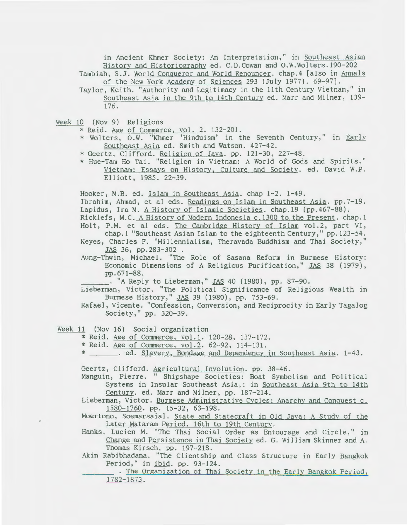in Ancient Khmer Society: An Interpretation, " in Southeast Asian History and Historiography ed. C.D. Cowan and O.W. Wolters. 190-202

Tambiah, S.J. World Conqueror and World Renouncer. chap.4 [also in Annals of the New York Academy of Sciences 293 (July 1977) . 69-97].

Taylor, Keith. "Authority and Legitimacy in the 11th Century Vietnam," in Southeast Asia in the 9th to 14th Century ed. Marr and Milner, 139-176.

Week 10 (Nov 9) Religions<br> $*$  Reid. Age of Commerce, vol. 2. 132-201.

\* Wolters, O.W. "Khmer 'Hinduism' in the Seventh Century," in Early Southeast Asia ed. Smith and Watson. 427-42.

\* Geertz, Clifford. Religion of Java. pp. 121-30, 227-48.

\*Hue-Tam Ho Tai. "Religion in Vietnam: A World of Gods and Spirits," Vietnam: Essays on History, Culture and Society. ed. David W.P. Elliott, 1985. 22-39.

Hooker, M.B. ed. Islam in Southeast Asia. chap 1-2. 1-49.

Ibrahim, Ahmad, et al eds. Readings on Islam in Southeast Asia. pp.7-19. Lapidus, Ira M. A History of Islamic Societies. chap. 19 (pp. 467-88).

Ricklefs, M.C. A History of Modern Indonesia c.1300 to. the Present. chap.1 Holt, P.M. et al eds. The Cambridge History of Islam vol.2, part VI, chap.1 "Southeast Asian Islam to the eighteenth Century," pp.123-54.

Keyes, Charles F. "Mi llennial ism, Theravada Buddhism and Thai Society,"

JAS 36, pp.283-302 . Aung-Thwin, Michael. "The Role of Sasana Reform in Burmese History: Economic Dimensions of A Religious Purification," JAS 38 (1979), pp.671-88.<br>pp.671-88.<br>\_. "A Reply to Lieberman," JAS 40 (1980), pp. 87-90.

Lieberman, Victor. "The Political Significance of Religious Wealth in Burmese History," JAS 39 (1980), pp. 753-69.

Rafael, Vicente. "Confession, Conversion, and Reciprocity in Early Tagalog Society," pp. 320-39 .

Week 11 (Nov 16) Social organization

\* Reid. Age of Commerce, vol.1. 120-28, 137-172.<br>\* Reid. Age of Commerce, vol.2. 62-92, 114-131.

\* \_\_\_\_\_. ed. Slavery, Bondage and Dependency in Southeast Asia. 1-43.

Geertz, Clifford. Agricultural Involution. pp. 38-46.

- Manguin, Pierre. " Shipshape Societies: Boat Symbolism and Political Systems in Insular Southeast Asia,: in Southeast Asia 9th to 14th Century. ed. Marr and Milner, pp. 187-214.
- Lieberman, Victor. Burmese Administrative Cycles: Anarchy and Conquest c. 1580-1760. pp. 15-32, 63-198.

Moertono, Soemarsaial. State and Statecraft in Old Java: A Study of the Later Mataram Period. 16th to 19th Century.

- Hanks, Lucien M. "The Thai Social Order as Entourage and Circle," in Change and Persistence in Thai Society ed. G. William Skinner and A. Thomas Kirsch, pp. 197-218.
- Akin Rabibhadana. "The Clientship and Class Structure in Early Bangkok Period," in ibid. pp. 93-124.
	- . The Organization of Thai Society in the Early Bangkok Period, 1782-1873.